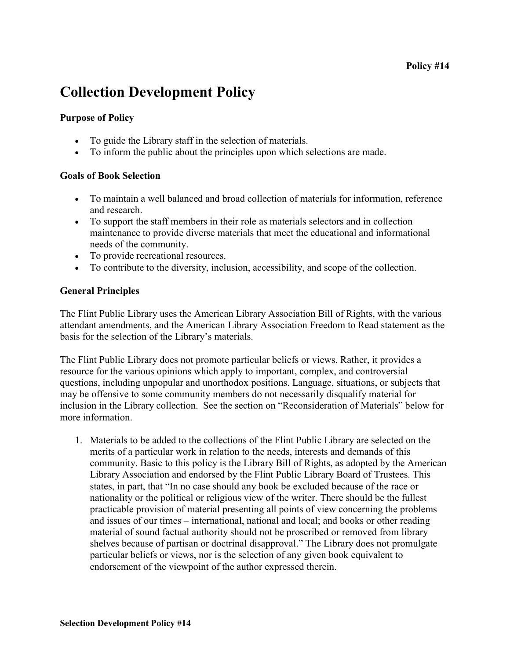# Collection Development Policy

# Purpose of Policy

- To guide the Library staff in the selection of materials.
- To inform the public about the principles upon which selections are made.

## Goals of Book Selection

- To maintain a well balanced and broad collection of materials for information, reference and research.
- To support the staff members in their role as materials selectors and in collection maintenance to provide diverse materials that meet the educational and informational needs of the community.
- To provide recreational resources.
- To contribute to the diversity, inclusion, accessibility, and scope of the collection.

## General Principles

The Flint Public Library uses the American Library Association Bill of Rights, with the various attendant amendments, and the American Library Association Freedom to Read statement as the basis for the selection of the Library's materials.

The Flint Public Library does not promote particular beliefs or views. Rather, it provides a resource for the various opinions which apply to important, complex, and controversial questions, including unpopular and unorthodox positions. Language, situations, or subjects that may be offensive to some community members do not necessarily disqualify material for inclusion in the Library collection. See the section on "Reconsideration of Materials" below for more information.

1. Materials to be added to the collections of the Flint Public Library are selected on the merits of a particular work in relation to the needs, interests and demands of this community. Basic to this policy is the Library Bill of Rights, as adopted by the American Library Association and endorsed by the Flint Public Library Board of Trustees. This states, in part, that "In no case should any book be excluded because of the race or nationality or the political or religious view of the writer. There should be the fullest practicable provision of material presenting all points of view concerning the problems and issues of our times – international, national and local; and books or other reading material of sound factual authority should not be proscribed or removed from library shelves because of partisan or doctrinal disapproval." The Library does not promulgate particular beliefs or views, nor is the selection of any given book equivalent to endorsement of the viewpoint of the author expressed therein.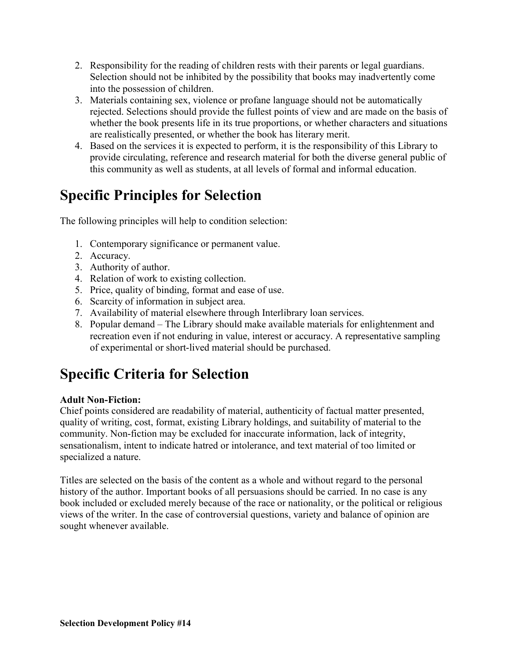- 2. Responsibility for the reading of children rests with their parents or legal guardians. Selection should not be inhibited by the possibility that books may inadvertently come into the possession of children.
- 3. Materials containing sex, violence or profane language should not be automatically rejected. Selections should provide the fullest points of view and are made on the basis of whether the book presents life in its true proportions, or whether characters and situations are realistically presented, or whether the book has literary merit.
- 4. Based on the services it is expected to perform, it is the responsibility of this Library to provide circulating, reference and research material for both the diverse general public of this community as well as students, at all levels of formal and informal education.

# Specific Principles for Selection

The following principles will help to condition selection:

- 1. Contemporary significance or permanent value.
- 2. Accuracy.
- 3. Authority of author.
- 4. Relation of work to existing collection.
- 5. Price, quality of binding, format and ease of use.
- 6. Scarcity of information in subject area.
- 7. Availability of material elsewhere through Interlibrary loan services.
- 8. Popular demand The Library should make available materials for enlightenment and recreation even if not enduring in value, interest or accuracy. A representative sampling of experimental or short-lived material should be purchased.

# Specific Criteria for Selection

# Adult Non-Fiction:

Chief points considered are readability of material, authenticity of factual matter presented, quality of writing, cost, format, existing Library holdings, and suitability of material to the community. Non-fiction may be excluded for inaccurate information, lack of integrity, sensationalism, intent to indicate hatred or intolerance, and text material of too limited or specialized a nature.

Titles are selected on the basis of the content as a whole and without regard to the personal history of the author. Important books of all persuasions should be carried. In no case is any book included or excluded merely because of the race or nationality, or the political or religious views of the writer. In the case of controversial questions, variety and balance of opinion are sought whenever available.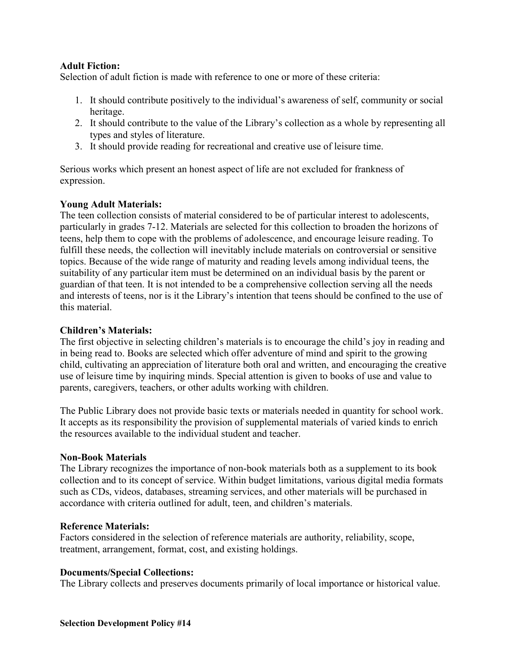## Adult Fiction:

Selection of adult fiction is made with reference to one or more of these criteria:

- 1. It should contribute positively to the individual's awareness of self, community or social heritage.
- 2. It should contribute to the value of the Library's collection as a whole by representing all types and styles of literature.
- 3. It should provide reading for recreational and creative use of leisure time.

Serious works which present an honest aspect of life are not excluded for frankness of expression.

## Young Adult Materials:

The teen collection consists of material considered to be of particular interest to adolescents, particularly in grades 7-12. Materials are selected for this collection to broaden the horizons of teens, help them to cope with the problems of adolescence, and encourage leisure reading. To fulfill these needs, the collection will inevitably include materials on controversial or sensitive topics. Because of the wide range of maturity and reading levels among individual teens, the suitability of any particular item must be determined on an individual basis by the parent or guardian of that teen. It is not intended to be a comprehensive collection serving all the needs and interests of teens, nor is it the Library's intention that teens should be confined to the use of this material.

#### Children's Materials:

The first objective in selecting children's materials is to encourage the child's joy in reading and in being read to. Books are selected which offer adventure of mind and spirit to the growing child, cultivating an appreciation of literature both oral and written, and encouraging the creative use of leisure time by inquiring minds. Special attention is given to books of use and value to parents, caregivers, teachers, or other adults working with children.

The Public Library does not provide basic texts or materials needed in quantity for school work. It accepts as its responsibility the provision of supplemental materials of varied kinds to enrich the resources available to the individual student and teacher.

#### Non-Book Materials

The Library recognizes the importance of non-book materials both as a supplement to its book collection and to its concept of service. Within budget limitations, various digital media formats such as CDs, videos, databases, streaming services, and other materials will be purchased in accordance with criteria outlined for adult, teen, and children's materials.

#### Reference Materials:

Factors considered in the selection of reference materials are authority, reliability, scope, treatment, arrangement, format, cost, and existing holdings.

#### Documents/Special Collections:

The Library collects and preserves documents primarily of local importance or historical value.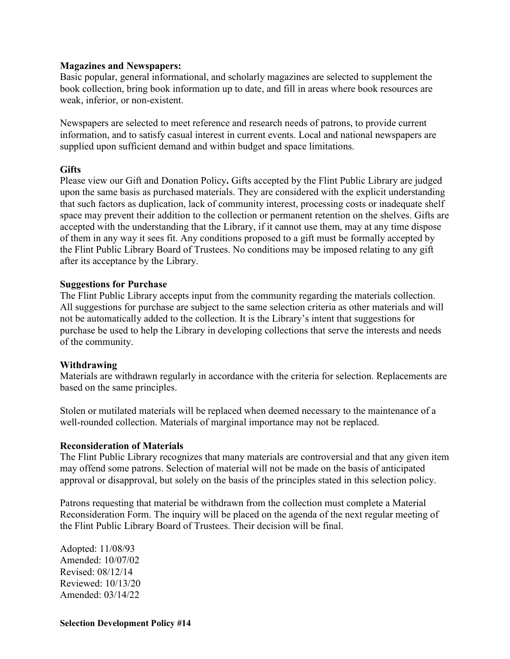#### Magazines and Newspapers:

Basic popular, general informational, and scholarly magazines are selected to supplement the book collection, bring book information up to date, and fill in areas where book resources are weak, inferior, or non-existent.

Newspapers are selected to meet reference and research needs of patrons, to provide current information, and to satisfy casual interest in current events. Local and national newspapers are supplied upon sufficient demand and within budget and space limitations.

#### **Gifts**

Please view our Gift and Donation Policy. Gifts accepted by the Flint Public Library are judged upon the same basis as purchased materials. They are considered with the explicit understanding that such factors as duplication, lack of community interest, processing costs or inadequate shelf space may prevent their addition to the collection or permanent retention on the shelves. Gifts are accepted with the understanding that the Library, if it cannot use them, may at any time dispose of them in any way it sees fit. Any conditions proposed to a gift must be formally accepted by the Flint Public Library Board of Trustees. No conditions may be imposed relating to any gift after its acceptance by the Library.

#### Suggestions for Purchase

The Flint Public Library accepts input from the community regarding the materials collection. All suggestions for purchase are subject to the same selection criteria as other materials and will not be automatically added to the collection. It is the Library's intent that suggestions for purchase be used to help the Library in developing collections that serve the interests and needs of the community.

#### Withdrawing

Materials are withdrawn regularly in accordance with the criteria for selection. Replacements are based on the same principles.

Stolen or mutilated materials will be replaced when deemed necessary to the maintenance of a well-rounded collection. Materials of marginal importance may not be replaced.

#### Reconsideration of Materials

The Flint Public Library recognizes that many materials are controversial and that any given item may offend some patrons. Selection of material will not be made on the basis of anticipated approval or disapproval, but solely on the basis of the principles stated in this selection policy.

Patrons requesting that material be withdrawn from the collection must complete a Material Reconsideration Form. The inquiry will be placed on the agenda of the next regular meeting of the Flint Public Library Board of Trustees. Their decision will be final.

Adopted: 11/08/93 Amended: 10/07/02 Revised: 08/12/14 Reviewed: 10/13/20 Amended: 03/14/22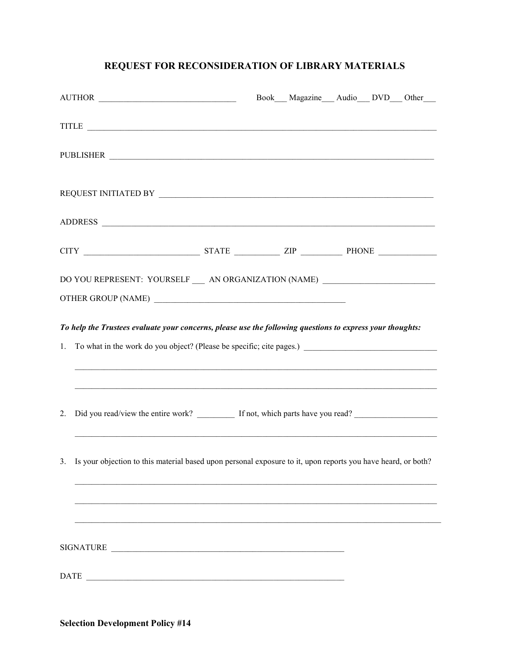# REQUEST FOR RECONSIDERATION OF LIBRARY MATERIALS

|                                                                                                           | AUTHOR                                                                                                          |  | Book Magazine Audio DVD Other |  |  |  |
|-----------------------------------------------------------------------------------------------------------|-----------------------------------------------------------------------------------------------------------------|--|-------------------------------|--|--|--|
|                                                                                                           |                                                                                                                 |  |                               |  |  |  |
|                                                                                                           | PUBLISHER                                                                                                       |  |                               |  |  |  |
|                                                                                                           |                                                                                                                 |  |                               |  |  |  |
|                                                                                                           |                                                                                                                 |  |                               |  |  |  |
|                                                                                                           |                                                                                                                 |  |                               |  |  |  |
| DO YOU REPRESENT: YOURSELF __ AN ORGANIZATION (NAME) ___________________________                          |                                                                                                                 |  |                               |  |  |  |
| To help the Trustees evaluate your concerns, please use the following questions to express your thoughts: |                                                                                                                 |  |                               |  |  |  |
| 1.                                                                                                        |                                                                                                                 |  |                               |  |  |  |
|                                                                                                           |                                                                                                                 |  |                               |  |  |  |
| 2.                                                                                                        | Did you read/view the entire work? ___________ If not, which parts have you read? ____________________________  |  |                               |  |  |  |
|                                                                                                           | 3. Is your objection to this material based upon personal exposure to it, upon reports you have heard, or both? |  |                               |  |  |  |
|                                                                                                           |                                                                                                                 |  |                               |  |  |  |
|                                                                                                           | SIGNATURE                                                                                                       |  |                               |  |  |  |
| DATE                                                                                                      |                                                                                                                 |  |                               |  |  |  |